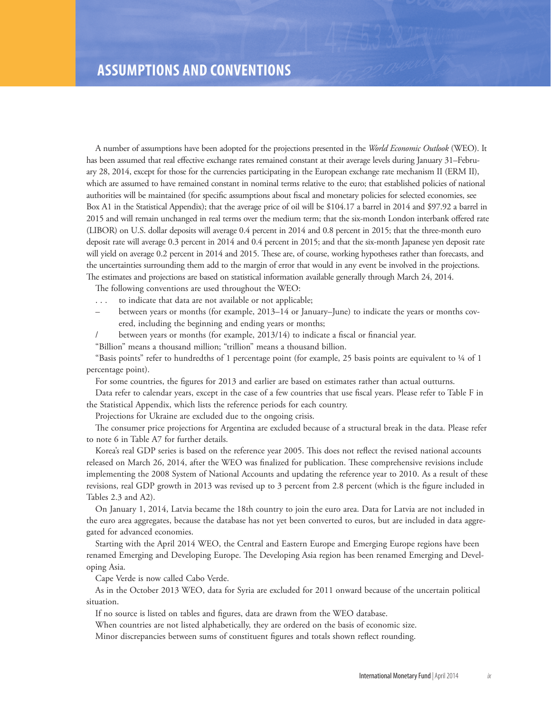A number of assumptions have been adopted for the projections presented in the *World Economic Outlook* (WEO). It has been assumed that real effective exchange rates remained constant at their average levels during January 31–February 28, 2014, except for those for the currencies participating in the European exchange rate mechanism II (ERM II), which are assumed to have remained constant in nominal terms relative to the euro; that established policies of national authorities will be maintained (for specific assumptions about fiscal and monetary policies for selected economies, see Box A1 in the Statistical Appendix); that the average price of oil will be \$104.17 a barrel in 2014 and \$97.92 a barrel in 2015 and will remain unchanged in real terms over the medium term; that the six-month London interbank offered rate (LIBOR) on U.S. dollar deposits will average 0.4 percent in 2014 and 0.8 percent in 2015; that the three-month euro deposit rate will average 0.3 percent in 2014 and 0.4 percent in 2015; and that the six-month Japanese yen deposit rate will yield on average 0.2 percent in 2014 and 2015. These are, of course, working hypotheses rather than forecasts, and the uncertainties surrounding them add to the margin of error that would in any event be involved in the projections. The estimates and projections are based on statistical information available generally through March 24, 2014.

The following conventions are used throughout the WEO:

. . . to indicate that data are not available or not applicable;

- between years or months (for example, 2013-14 or January-June) to indicate the years or months covered, including the beginning and ending years or months;
- / between years or months (for example, 2013/14) to indicate a fiscal or financial year.

"Billion" means a thousand million; "trillion" means a thousand billion.

"Basis points" refer to hundredths of 1 percentage point (for example, 25 basis points are equivalent to ¼ of 1 percentage point).

For some countries, the figures for 2013 and earlier are based on estimates rather than actual outturns.

Data refer to calendar years, except in the case of a few countries that use fiscal years. Please refer to Table F in the Statistical Appendix, which lists the reference periods for each country.

Projections for Ukraine are excluded due to the ongoing crisis.

The consumer price projections for Argentina are excluded because of a structural break in the data. Please refer to note 6 in Table A7 for further details.

Korea's real GDP series is based on the reference year 2005. This does not reflect the revised national accounts released on March 26, 2014, after the WEO was finalized for publication. These comprehensive revisions include implementing the 2008 System of National Accounts and updating the reference year to 2010. As a result of these revisions, real GDP growth in 2013 was revised up to 3 percent from 2.8 percent (which is the figure included in Tables 2.3 and A2).

On January 1, 2014, Latvia became the 18th country to join the euro area. Data for Latvia are not included in the euro area aggregates, because the database has not yet been converted to euros, but are included in data aggregated for advanced economies.

Starting with the April 2014 WEO, the Central and Eastern Europe and Emerging Europe regions have been renamed Emerging and Developing Europe. The Developing Asia region has been renamed Emerging and Developing Asia.

Cape Verde is now called Cabo Verde.

As in the October 2013 WEO, data for Syria are excluded for 2011 onward because of the uncertain political situation.

If no source is listed on tables and figures, data are drawn from the WEO database.

When countries are not listed alphabetically, they are ordered on the basis of economic size.

Minor discrepancies between sums of constituent figures and totals shown reflect rounding.